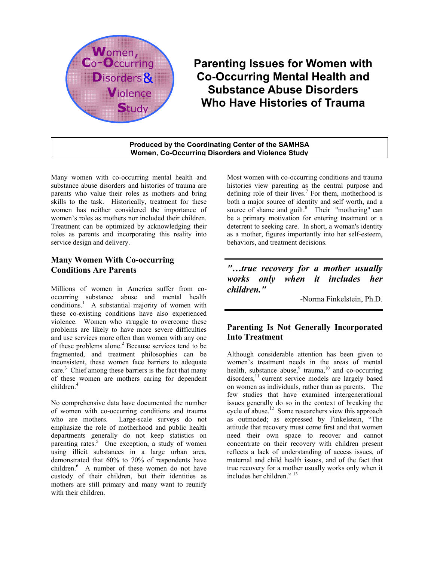

# **Parenting Issues for Women with Co-Occurring Mental Health and Substance Abuse Disorders Who Have Histories of Trauma**

#### **Produced by the Coordinating Center of the SAMHSA Women, Co-Occurring Disorders and Violence Study**

Many women with co-occurring mental health and substance abuse disorders and histories of trauma are parents who value their roles as mothers and bring skills to the task. Historically, treatment for these women has neither considered the importance of women's roles as mothers nor included their children. Treatment can be optimized by acknowledging their roles as parents and incorporating this reality into service design and delivery.

## **Many Women With Co-occurring Conditions Are Parents**

Millions of women in America suffer from cooccurring substance abuse and mental health conditions.<sup>1</sup> A substantial majority of women with these co-existing conditions have also experienced violence. Women who struggle to overcome these problems are likely to have more severe difficulties and use services more often than women with any one of these problems alone.<sup>2</sup> Because services tend to be fragmented, and treatment philosophies can be inconsistent, these women face barriers to adequate care.<sup>3</sup> Chief among these barriers is the fact that many of these women are mothers caring for dependent children.<sup>4</sup>

No comprehensive data have documented the number of women with co-occurring conditions and trauma who are mothers. Large-scale surveys do not emphasize the role of motherhood and public health departments generally do not keep statistics on parenting rates.<sup>5</sup> One exception, a study of women using illicit substances in a large urban area, demonstrated that 60% to 70% of respondents have children.<sup>6</sup> A number of these women do not have custody of their children, but their identities as mothers are still primary and many want to reunify with their children.

Most women with co-occurring conditions and trauma histories view parenting as the central purpose and defining role of their lives.<sup>7</sup> For them, motherhood is both a major source of identity and self worth, and a source of shame and guilt. $8$  Their "mothering" can be a primary motivation for entering treatment or a deterrent to seeking care. In short, a woman's identity as a mother, figures importantly into her self-esteem, behaviors, and treatment decisions.

*"…true recovery for a mother usually works only when it includes her children."* 

-Norma Finkelstein, Ph.D.

# **Parenting Is Not Generally Incorporated Into Treatment**

Although considerable attention has been given to women's treatment needs in the areas of mental health, substance abuse, $\degree$  trauma,  $\degree$  and co-occurring disorders,<sup>11</sup> current service models are largely based on women as individuals, rather than as parents. The few studies that have examined intergenerational issues generally do so in the context of breaking the cycle of abuse.<sup>12</sup> Some researchers view this approach as outmoded; as expressed by Finkelstein, "The attitude that recovery must come first and that women need their own space to recover and cannot concentrate on their recovery with children present reflects a lack of understanding of access issues, of maternal and child health issues, and of the fact that true recovery for a mother usually works only when it includes her children." <sup>13</sup>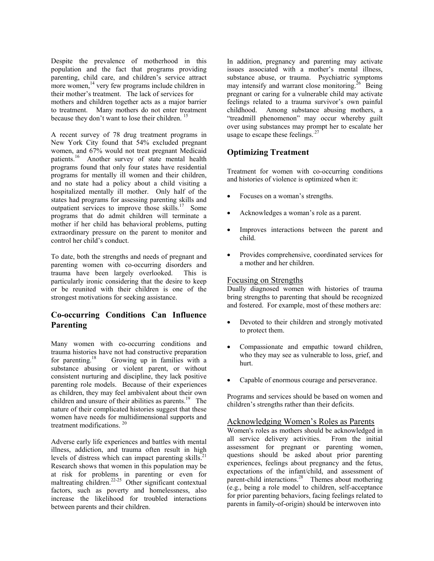Despite the prevalence of motherhood in this population and the fact that programs providing parenting, child care, and children's service attract more women, $^{14}$  very few programs include children in their mother's treatment. The lack of services for mothers and children together acts as a major barrier to treatment. Many mothers do not enter treatment because they don't want to lose their children.<sup>15</sup>

A recent survey of 78 drug treatment programs in New York City found that 54% excluded pregnant women, and 67% would not treat pregnant Medicaid patients.<sup>16</sup> Another survey of state mental health programs found that only four states have residential programs for mentally ill women and their children, and no state had a policy about a child visiting a hospitalized mentally ill mother. Only half of the states had programs for assessing parenting skills and outpatient services to improve those skills.17 Some programs that do admit children will terminate a mother if her child has behavioral problems, putting extraordinary pressure on the parent to monitor and control her child's conduct.

To date, both the strengths and needs of pregnant and parenting women with co-occurring disorders and trauma have been largely overlooked. This is particularly ironic considering that the desire to keep or be reunited with their children is one of the strongest motivations for seeking assistance.

## **Co-occurring Conditions Can Influence Parenting**

Many women with co-occurring conditions and trauma histories have not had constructive preparation<br>for parenting.<sup>18</sup> Growing up in families with a Growing up in families with a substance abusing or violent parent, or without consistent nurturing and discipline, they lack positive parenting role models. Because of their experiences as children, they may feel ambivalent about their own children and unsure of their abilities as parents.<sup>19</sup> The nature of their complicated histories suggest that these women have needs for multidimensional supports and treatment modifications. 20

Adverse early life experiences and battles with mental illness, addiction, and trauma often result in high levels of distress which can impact parenting skills.<sup>21</sup> Research shows that women in this population may be at risk for problems in parenting or even for maltreating children.<sup>22-25</sup> Other significant contextual factors, such as poverty and homelessness, also increase the likelihood for troubled interactions between parents and their children.

In addition, pregnancy and parenting may activate issues associated with a mother's mental illness, substance abuse, or trauma. Psychiatric symptoms may intensify and warrant close monitoring.<sup>26</sup> Being pregnant or caring for a vulnerable child may activate feelings related to a trauma survivor's own painful childhood. Among substance abusing mothers, a "treadmill phenomenon" may occur whereby guilt over using substances may prompt her to escalate her usage to escape these feelings.<sup>27</sup>

## **Optimizing Treatment**

Treatment for women with co-occurring conditions and histories of violence is optimized when it:

- Focuses on a woman's strengths.
- Acknowledges a woman's role as a parent.
- Improves interactions between the parent and child.
- Provides comprehensive, coordinated services for a mother and her children.

### Focusing on Strengths

Dually diagnosed women with histories of trauma bring strengths to parenting that should be recognized and fostered. For example, most of these mothers are:

- Devoted to their children and strongly motivated to protect them.
- Compassionate and empathic toward children, who they may see as vulnerable to loss, grief, and hurt.
- Capable of enormous courage and perseverance.

Programs and services should be based on women and children's strengths rather than their deficits.

### Acknowledging Women's Roles as Parents

Women's roles as mothers should be acknowledged in all service delivery activities. From the initial assessment for pregnant or parenting women, questions should be asked about prior parenting experiences, feelings about pregnancy and the fetus, expectations of the infant/child, and assessment of parent-child interactions. $28$  Themes about mothering (e.g., being a role model to children, self-acceptance for prior parenting behaviors, facing feelings related to parents in family-of-origin) should be interwoven into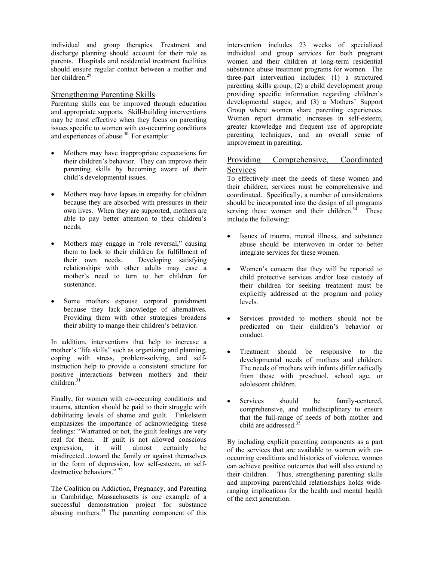individual and group therapies. Treatment and discharge planning should account for their role as parents. Hospitals and residential treatment facilities should ensure regular contact between a mother and her children $29$ 

#### Strengthening Parenting Skills

Parenting skills can be improved through education and appropriate supports. Skill-building interventions may be most effective when they focus on parenting issues specific to women with co-occurring conditions and experiences of abuse.<sup>30</sup> For example:

- Mothers may have inappropriate expectations for their children's behavior. They can improve their parenting skills by becoming aware of their child's developmental issues.
- Mothers may have lapses in empathy for children because they are absorbed with pressures in their own lives. When they are supported, mothers are able to pay better attention to their children's needs.
- Mothers may engage in "role reversal," causing them to look to their children for fulfillment of their own needs. Developing satisfying relationships with other adults may ease a mother's need to turn to her children for sustenance.
- Some mothers espouse corporal punishment because they lack knowledge of alternatives. Providing them with other strategies broadens their ability to mange their children's behavior.

In addition, interventions that help to increase a mother's "life skills" such as organizing and planning, coping with stress, problem-solving, and selfinstruction help to provide a consistent structure for positive interactions between mothers and their  $children.<sup>31</sup>$ 

Finally, for women with co-occurring conditions and trauma, attention should be paid to their struggle with debilitating levels of shame and guilt. Finkelstein emphasizes the importance of acknowledging these feelings: "Warranted or not, the guilt feelings are very real for them. If guilt is not allowed conscious expression, it will almost certainly be misdirected...toward the family or against themselves in the form of depression, low self-esteem, or selfdestructive behaviors." 32

The Coalition on Addiction, Pregnancy, and Parenting in Cambridge, Massachusetts is one example of a successful demonstration project for substance abusing mothers.<sup>33</sup> The parenting component of this intervention includes 23 weeks of specialized individual and group services for both pregnant women and their children at long-term residential substance abuse treatment programs for women. The three-part intervention includes: (1) a structured parenting skills group; (2) a child development group providing specific information regarding children's developmental stages; and (3) a Mothers' Support Group where women share parenting experiences. Women report dramatic increases in self-esteem, greater knowledge and frequent use of appropriate parenting techniques, and an overall sense of improvement in parenting.

## Providing Comprehensive, Coordinated **Services**

To effectively meet the needs of these women and their children, services must be comprehensive and coordinated. Specifically, a number of considerations should be incorporated into the design of all programs serving these women and their children. $3<sup>4</sup>$  These include the following:

- Issues of trauma, mental illness, and substance abuse should be interwoven in order to better integrate services for these women.
- Women's concern that they will be reported to child protective services and/or lose custody of their children for seeking treatment must be explicitly addressed at the program and policy levels.
- Services provided to mothers should not be predicated on their children's behavior or conduct.
- Treatment should be responsive to the developmental needs of mothers and children. The needs of mothers with infants differ radically from those with preschool, school age, or adolescent children.
- Services should be family-centered, comprehensive, and multidisciplinary to ensure that the full-range of needs of both mother and child are addressed.<sup>35</sup>

By including explicit parenting components as a part of the services that are available to women with cooccurring conditions and histories of violence, women can achieve positive outcomes that will also extend to their children. Thus, strengthening parenting skills and improving parent/child relationships holds wideranging implications for the health and mental health of the next generation.